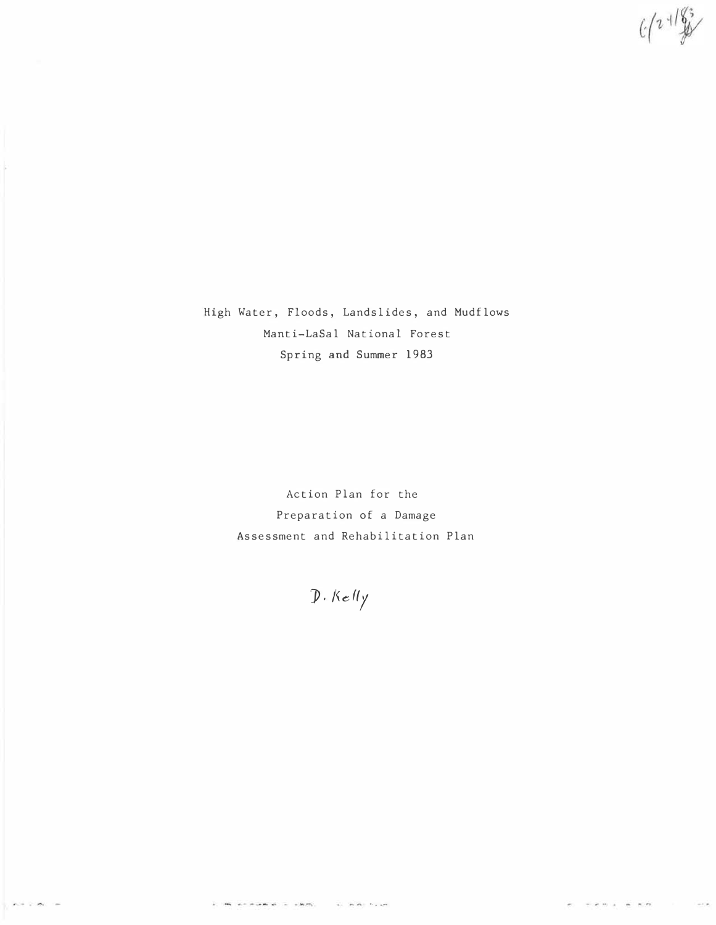$C(2+1/8)$ 

High Water, Floods, Landslides, and Mudflows Manti-LaSal National Forest Spring and Summer 1983

> Action Plan for the Preparation of a Damage Assessment and Rehabilitation Plan

 $D.$  Kelly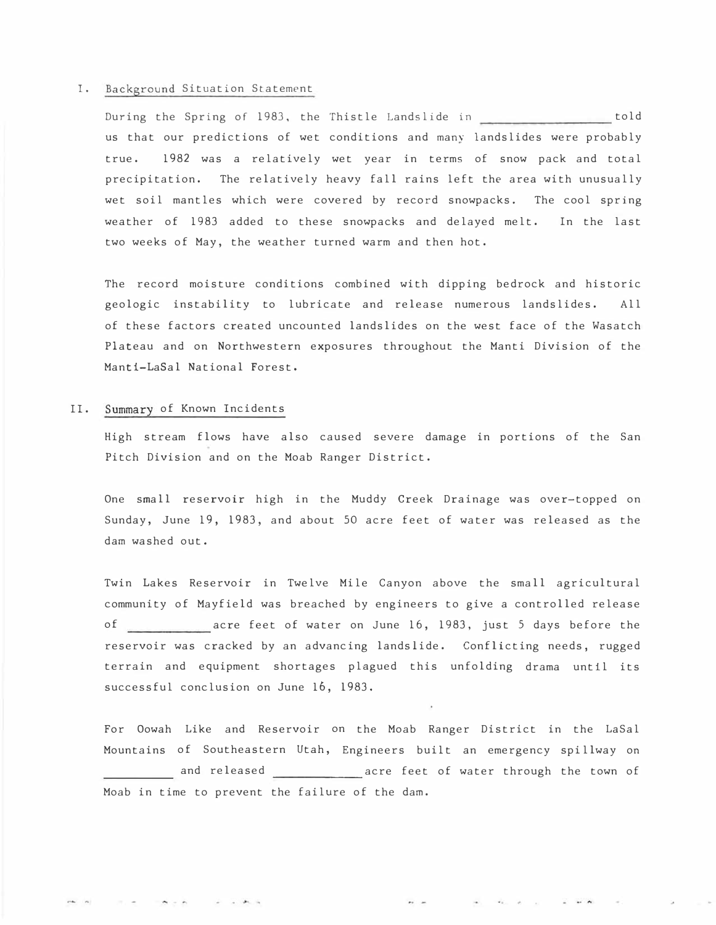#### I. Background Situation Statement

During the Spring of 1983, the Thistle Landslide in told andslides were probot<br>of snow pack and the area with unust us that our predictions of wet conditions and many landslides were probably true. 1982 was a relatively wet year in terms of snow pack and total precipitation. The relatively heavy fall rains left the area with unusually wet soil mantles which were covered by record snowpacks. The cool spring weather of 1983 added to these snowpacks and delayed melt. In the last two weeks of May, the weather turned warm and then hot.

The record moisture conditions combined with dipping bedrock and historic geologic instability to lubricate and release numerous landslides. All of these factors created uncounted landslides on the west face of the Wasatch Plateau and on Northwestern exposures throughout the Manti Division of the Manti-LaSal National Forest.

#### II. Summary of Known Incidents

High stream flows have also caused severe damage in portions of the San Pitch Division and on the Moab Ranger District.

One small reservoir high in the Muddy Creek Drainage was over-topped on Sunday, June 19, 1983, and about 50 acre feet of water was released as the dam washed out.

Twin Lakes Reservoir in Twelve Mile Canyon above the small agricultural community of Mayfield was breached by engineers to give a controlled release of acre feet of water on June 16, 1983, just 5 days before the reservoir was cracked by an advancing landslide. Conflicting needs, rugged terrain and equipment shortages plagued this unfolding drama until its successful conclusion on June 16, 1983.

For Oowah Like and Reservoir on the Moab Ranger District in the LaSal Mountains of Southeastern Utah, Engineers built an emergency spillway on % an advancing land<br>shortages plagued<br>June 16, 1983.<br>servoir on the Moa<br>rn Utah, Engineers<br>acre for the failure of the C and released **acre** feet of water through the town of Moab in time to prevent the failure of the dam.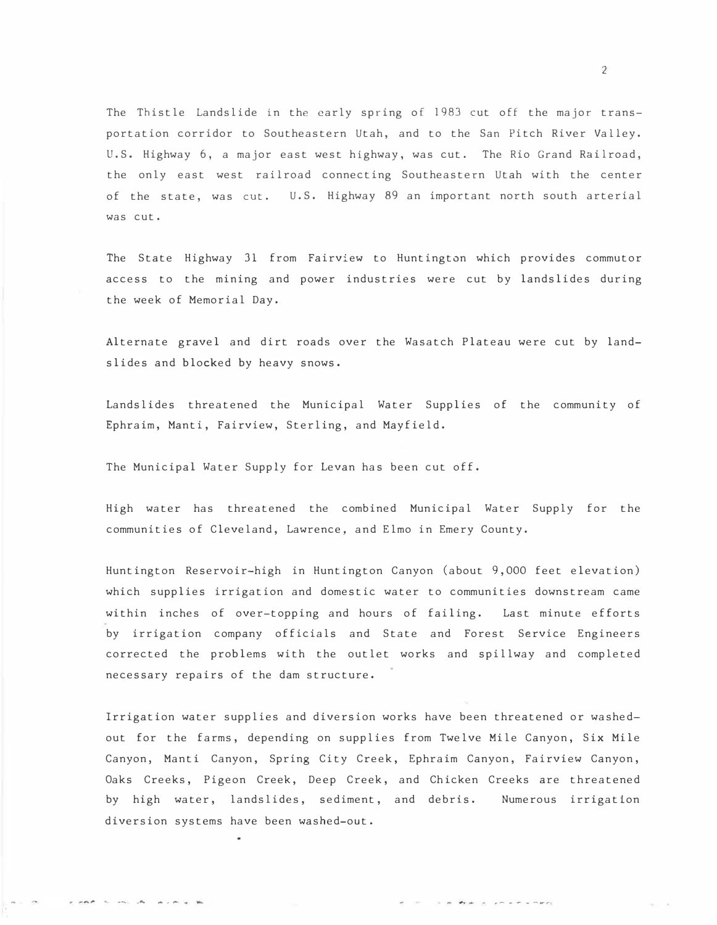The Thistle Landslide in the early spring of 1983 cut off the major transportation corridor to Southeastern Utah, and to the San Pitch River Valley. U. S. Highway 6, a major east west highway, was cut. The Rio Grand Railroad, the only east west railroad connecting Southeastern Utah with the center of the state, was cut. U. S. Highway 89 an important north south arterial was cut.

The State Highway 31 from Fairview to Huntington which provides commutor access to the mining and power industries were cut by landslides during the week of Memorial Day.

Alternate gravel and dirt roads over the Wasatch Plateau were cut by landslides and blocked by heavy snows.

Landslides threatened the Municipal Water Supplies of the community of Ephraim, Manti, Fairview, Sterling, and Mayfield.

The Municipal Water Supply for Levan has been cut off.

come to one do working the

High water has threatened the combined Municipal Water Supply for the communities of Cleveland, Lawrence, and Elmo in Emery County.

Huntington Reservoir-high in Huntington Canyon (about 9,000 feet elevation) which supplies irrigation and domestic water to communities downstream came within inches of over-topping and hours of failing. Last minute efforts by irrigation company officials and State and Forest Service Engineers corrected the problems with the outlet works and spillway and completed necessary repairs of the dam structure.

Irrigation water supplies and diversion works have been threatened or washedout for the farms, depending on supplies from Twelve Mile Canyon, Six Mile Canyon, Manti Canyon, Spring City Creek, Ephraim Canyon, Fairview Canyon, Oaks Creeks, Pigeon Creek, Deep Creek, and Chicken Creeks are threatened by high water, landslides, sediment, and debris. Numerous irrigation diversion systems have been washed-out.

2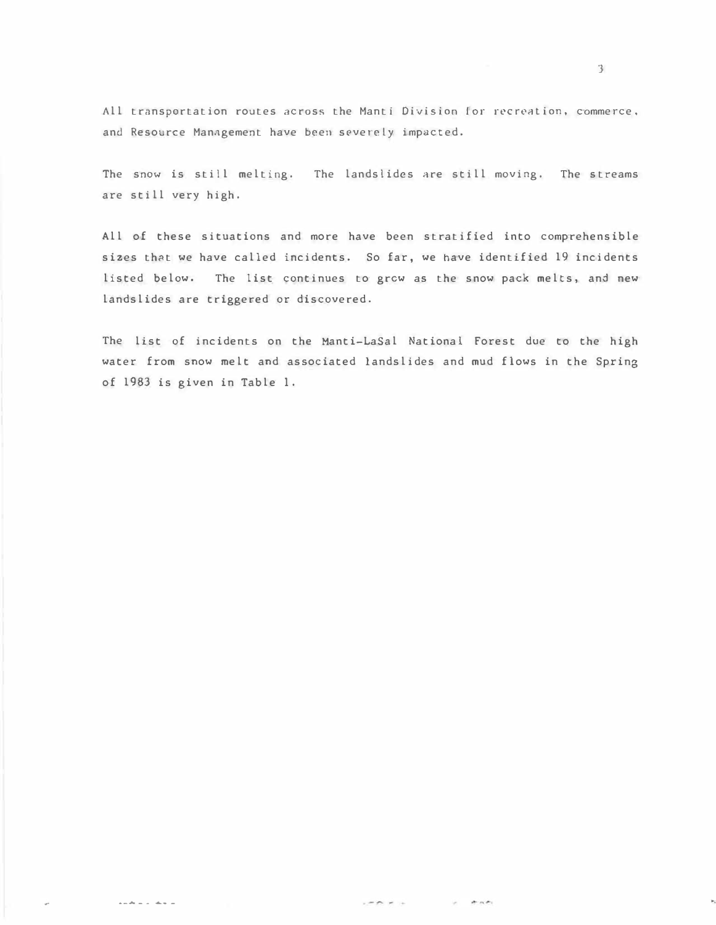All transportation routes across the Manti Division for recreation, commerce, and Resource Management have been severely impacted.

The snow is still melting. The landslides are still moving. The streams are still very high.

All of these situations and more have been stratified into comprehensible sizes that we have called incidents. So far, we have identified 19 incidents listed below. The list continues to grew as the snow pack melts, and new landslides are triggered or discovered.

The list of incidents on the Hanti-LaSal National Forest due to the high water from snow melt and associated landslides and mud flows in the Spring of 1983 is given in Table 1.

' .

..... \_\_ ...... -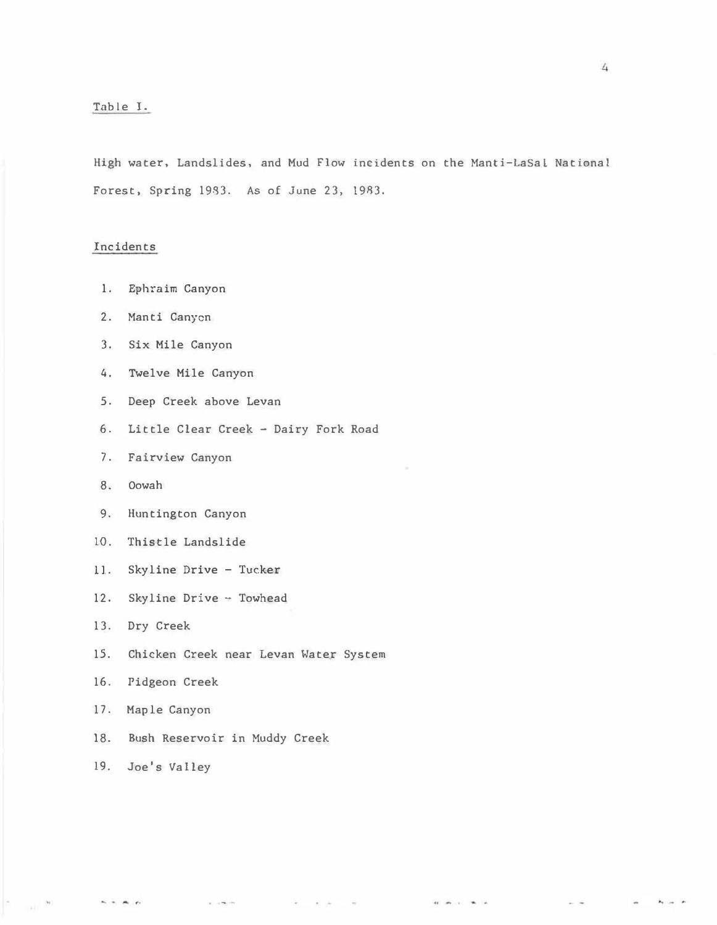## Table 1.

High water, Landslides, and Mud Flow incidents on the Manti-LaSal National Forest. Spring 1983. As of June 23, 19R3.

### Incidents

- 1. Ephraim Canyon
- 2. Manti Canyon
- 3. Six Mile Canyon
- 4. Twelve Mile Canyon
- 5. Deep Creek above Levan
- 6. Little Clear Creek Dairy Fork Road
- 7. Fairview Canyon
- 8. Oowah
- 9. Huntington Canyon
- 10. Thistle Landslide
- 11. Skyline Drive Tucker
- 12. Skyline Drive Towhead
- 13. Dry Creek
- 15. Chicken Creek near Levan Water System

 $\sim$  100  $\mu$ 

 $\Delta\Gamma$ 

 $\sim$ 

 $\label{eq:10} \alpha \quad \text{and} \quad \alpha \quad \text{and} \quad \alpha$ 

- 16. Pidgeon Creek
- 17. Maple Canyon
- 18. Bush Reservoir in Muddy Creek

 $\sim 100$ 

19. Joe's Valley

 $\mathbf{A} + \mathbf{A} + \mathbf{A}$ 

e.

 $\mathbf{a}_1$  ,  $\mathbf{a}_2$  ,  $\mathbf{a}_3$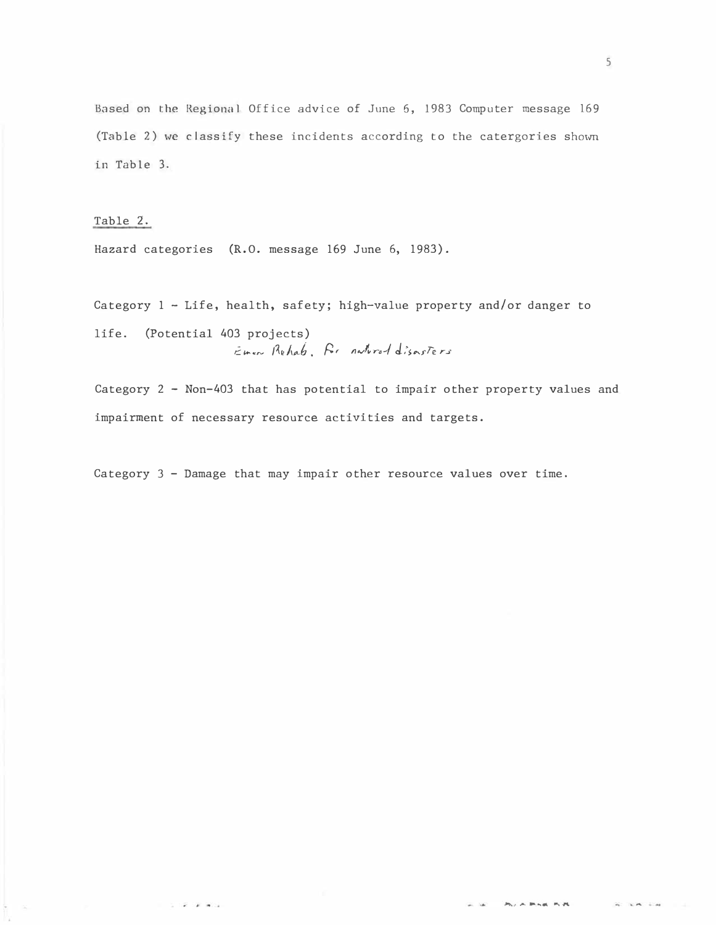Based on the Regional Office advice of June 6, 1983 Computer message 169 (Table 2) we classify these incidents according to the catergories shown in Table 3.

Table 2.

 $\mathcal{C} \rightarrow \mathcal{C}$  . As in (

Hazard categories (R.O. message 169 June 6, 1983).

Category 1 - Life, health, safety; high-value property and/or danger to life. (Potential 403 projects)

Emer Rehab. Ar natured disasters

Category 2 - Non-403 that has potential to impair other property values and impairment of necessary resource activities and targets.

Category 3 - Damage that may impair other resource values over time.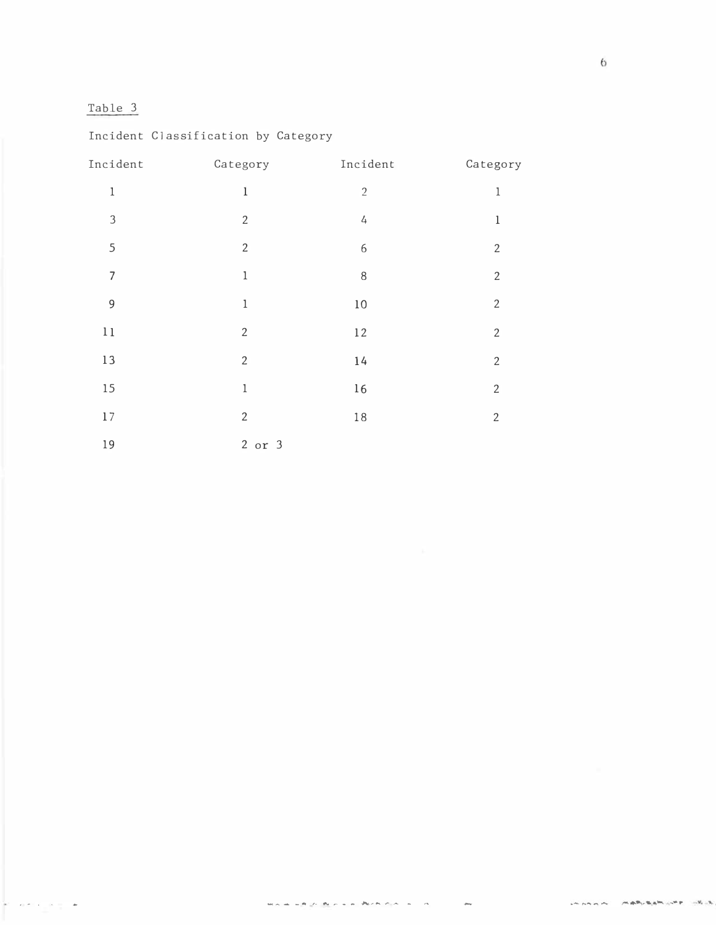# Table 3

| Incident       | Category       | Incident   | Category       |
|----------------|----------------|------------|----------------|
| $\,1$          | $\mathbf 1$    | $\sqrt{2}$ | $\mathbf 1$    |
| $\mathfrak{Z}$ | $\sqrt{2}$     | 4          | $\,1$          |
| 5              | $\overline{2}$ | 6          | $\sqrt{2}$     |
| $\overline{7}$ | $\,1$          | 8          | $\overline{2}$ |
| $\mathsf 9$    | $\,1$          | $10\,$     | $\mathbf{2}$   |
| $1\,1$         | $\overline{2}$ | $12$       | $\mathbf{2}$   |
| $13\,$         | $\overline{2}$ | $14$       | $\mathbf{2}$   |
| 15             | $\,1$          | $16\,$     | $\overline{2}$ |
| $17\,$         | $\overline{2}$ | $1\,8$     | $\sqrt{2}$     |
| 19             | $2$ or $3$     |            |                |

# Incident Classification by Category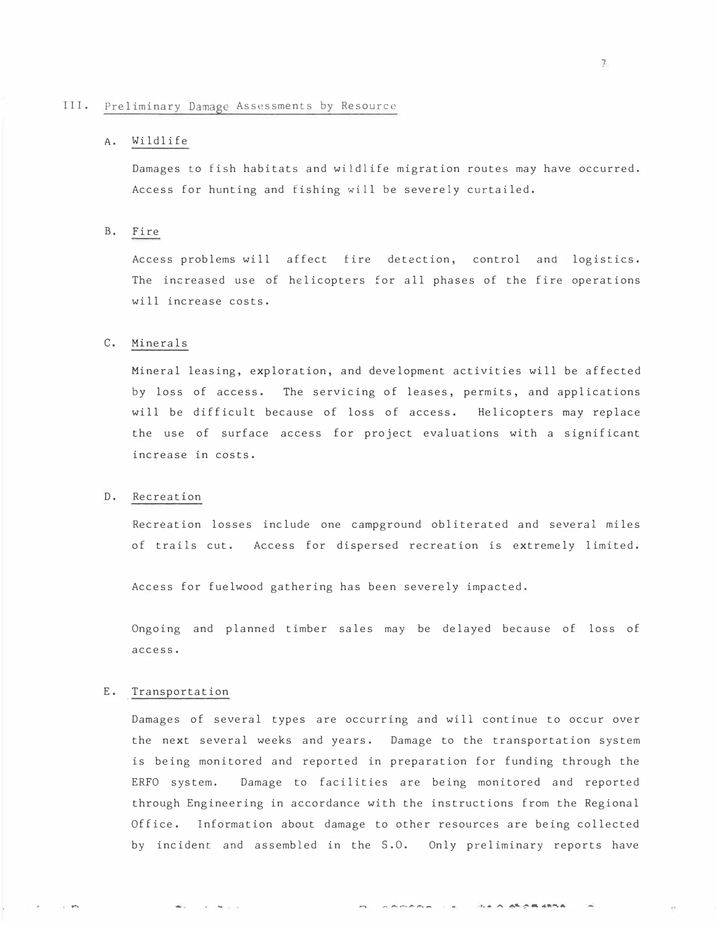#### III. Preliminary Damage Assessments by Resource

## A. Wildlife

Damages to fish habitats and wildlife migration routes may have occurred. Access for hunting and fishing will be severely curtailed.

## B. Fire

Access problems will affect fire detection, control and logistics. The increased use of helicopters for all phases of the fire operations will increase costs.

#### c. Minerals

Mineral leasing, exploration, and development activities will be affected by loss of access. The servicing of leases, permits, and applications will be difficult because of loss of access. Helicopters may replace the use of surface access for project evaluations with a significant increase in costs.

#### D. Recreation

Recreation losses include one campground obliterated and several miles of trails cut. Access for dispersed recreation is extremely limited.

Access for fuelwood gathering has been severely impacted.

Ongoing and planned timber sales may be delayed because of loss of access.

#### E. Transportation

 $\mathbf{w}_1 = \ldots = \mathbf{w}_{n+1} + \ldots$ 

 $\sim$ 

Damages of several types are occurring and will continue to occur over the next several weeks and years. Damage to the transportation system is being monitored and reported in preparation for funding through the ERFO system. Damage to facilities are being monitored and reported through Engineering in accordance with the instructions from the Regional Office. Information about damage to other resources are being collected by incident and assembled in the S.O. Only preliminary reports have